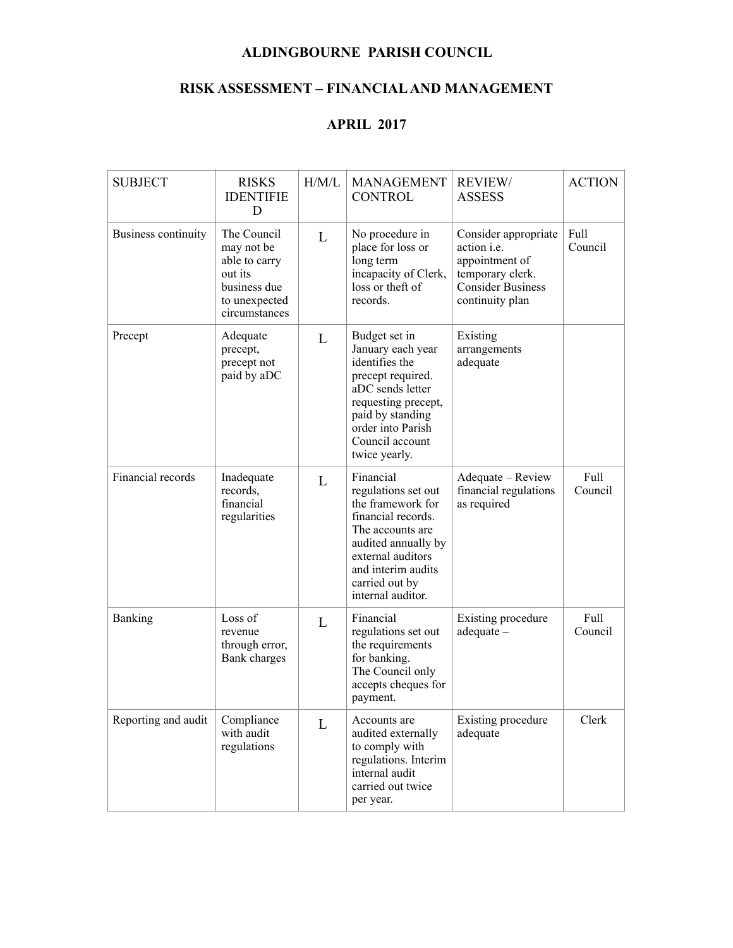## **ALDINGBOURNE PARISH COUNCIL**

## **RISK ASSESSMENT – FINANCIAL AND MANAGEMENT**

## **APRIL 2017**

| <b>SUBJECT</b>      | <b>RISKS</b><br><b>IDENTIFIE</b><br>D                                                                   | H/M/L | <b>MANAGEMENT</b><br><b>CONTROL</b>                                                                                                                                                                      | <b>REVIEW/</b><br><b>ASSESS</b>                                                                                                 | <b>ACTION</b>   |
|---------------------|---------------------------------------------------------------------------------------------------------|-------|----------------------------------------------------------------------------------------------------------------------------------------------------------------------------------------------------------|---------------------------------------------------------------------------------------------------------------------------------|-----------------|
| Business continuity | The Council<br>may not be<br>able to carry<br>out its<br>business due<br>to unexpected<br>circumstances | L     | No procedure in<br>place for loss or<br>long term<br>incapacity of Clerk,<br>loss or theft of<br>records.                                                                                                | Consider appropriate<br>action <i>i.e.</i><br>appointment of<br>temporary clerk.<br><b>Consider Business</b><br>continuity plan | Full<br>Council |
| Precept             | Adequate<br>precept,<br>precept not<br>paid by aDC                                                      | L     | Budget set in<br>January each year<br>identifies the<br>precept required.<br>aDC sends letter<br>requesting precept,<br>paid by standing<br>order into Parish<br>Council account<br>twice yearly.        | Existing<br>arrangements<br>adequate                                                                                            |                 |
| Financial records   | Inadequate<br>records,<br>financial<br>regularities                                                     | L     | Financial<br>regulations set out<br>the framework for<br>financial records.<br>The accounts are<br>audited annually by<br>external auditors<br>and interim audits<br>carried out by<br>internal auditor. | Adequate - Review<br>financial regulations<br>as required                                                                       | Full<br>Council |
| Banking             | Loss of<br>revenue<br>through error,<br>Bank charges                                                    | L     | Financial<br>regulations set out<br>the requirements<br>for banking.<br>The Council only<br>accepts cheques for<br>payment.                                                                              | Existing procedure<br>$adequate -$                                                                                              | Full<br>Council |
| Reporting and audit | Compliance<br>with audit<br>regulations                                                                 | L     | Accounts are<br>audited externally<br>to comply with<br>regulations. Interim<br>internal audit<br>carried out twice<br>per year.                                                                         | Existing procedure<br>adequate                                                                                                  | Clerk           |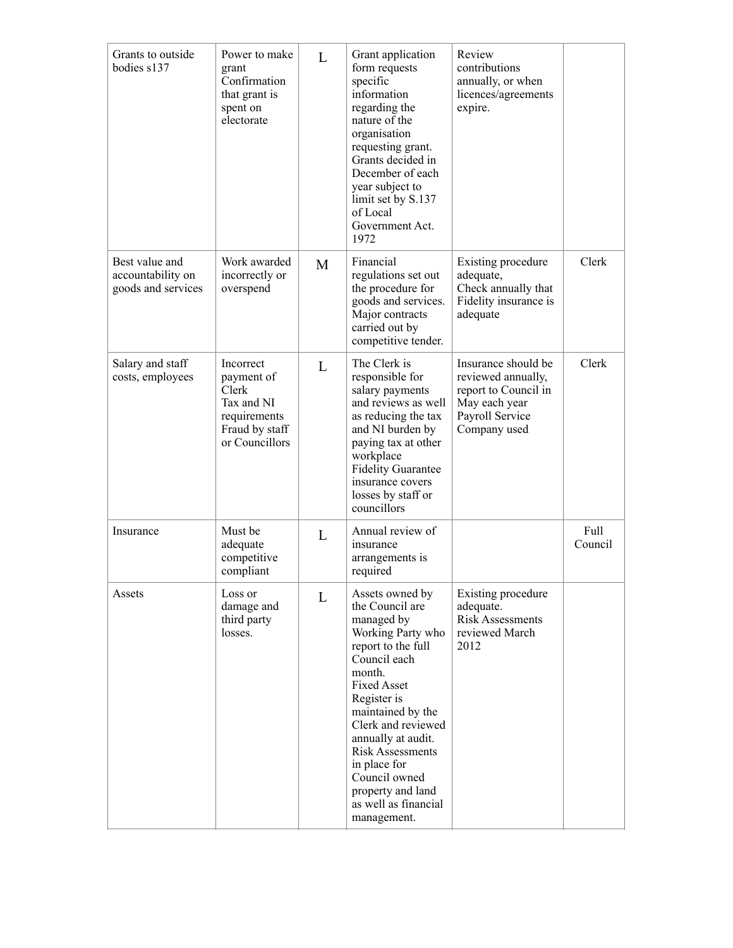| Grants to outside<br>bodies s137                          | Power to make<br>grant<br>Confirmation<br>that grant is<br>spent on<br>electorate                  | L            | Grant application<br>form requests<br>specific<br>information<br>regarding the<br>nature of the<br>organisation<br>requesting grant.<br>Grants decided in<br>December of each<br>year subject to<br>limit set by S.137<br>of Local<br>Government Act.<br>1972                                                                                       | Review<br>contributions<br>annually, or when<br>licences/agreements<br>expire.                                        |                 |
|-----------------------------------------------------------|----------------------------------------------------------------------------------------------------|--------------|-----------------------------------------------------------------------------------------------------------------------------------------------------------------------------------------------------------------------------------------------------------------------------------------------------------------------------------------------------|-----------------------------------------------------------------------------------------------------------------------|-----------------|
| Best value and<br>accountability on<br>goods and services | Work awarded<br>incorrectly or<br>overspend                                                        | M            | Financial<br>regulations set out<br>the procedure for<br>goods and services.<br>Major contracts<br>carried out by<br>competitive tender.                                                                                                                                                                                                            | Existing procedure<br>adequate,<br>Check annually that<br>Fidelity insurance is<br>adequate                           | Clerk           |
| Salary and staff<br>costs, employees                      | Incorrect<br>payment of<br>Clerk<br>Tax and NI<br>requirements<br>Fraud by staff<br>or Councillors | L            | The Clerk is<br>responsible for<br>salary payments<br>and reviews as well<br>as reducing the tax<br>and NI burden by<br>paying tax at other<br>workplace<br><b>Fidelity Guarantee</b><br>insurance covers<br>losses by staff or<br>councillors                                                                                                      | Insurance should be<br>reviewed annually,<br>report to Council in<br>May each year<br>Payroll Service<br>Company used | Clerk           |
| Insurance                                                 | Must be<br>adequate<br>competitive<br>compliant                                                    | $\mathbf{L}$ | Annual review of<br>insurance<br>arrangements is<br>required                                                                                                                                                                                                                                                                                        |                                                                                                                       | Full<br>Council |
| Assets                                                    | Loss or<br>damage and<br>third party<br>losses.                                                    | L            | Assets owned by<br>the Council are<br>managed by<br>Working Party who<br>report to the full<br>Council each<br>month.<br><b>Fixed Asset</b><br>Register is<br>maintained by the<br>Clerk and reviewed<br>annually at audit.<br><b>Risk Assessments</b><br>in place for<br>Council owned<br>property and land<br>as well as financial<br>management. | Existing procedure<br>adequate.<br><b>Risk Assessments</b><br>reviewed March<br>2012                                  |                 |